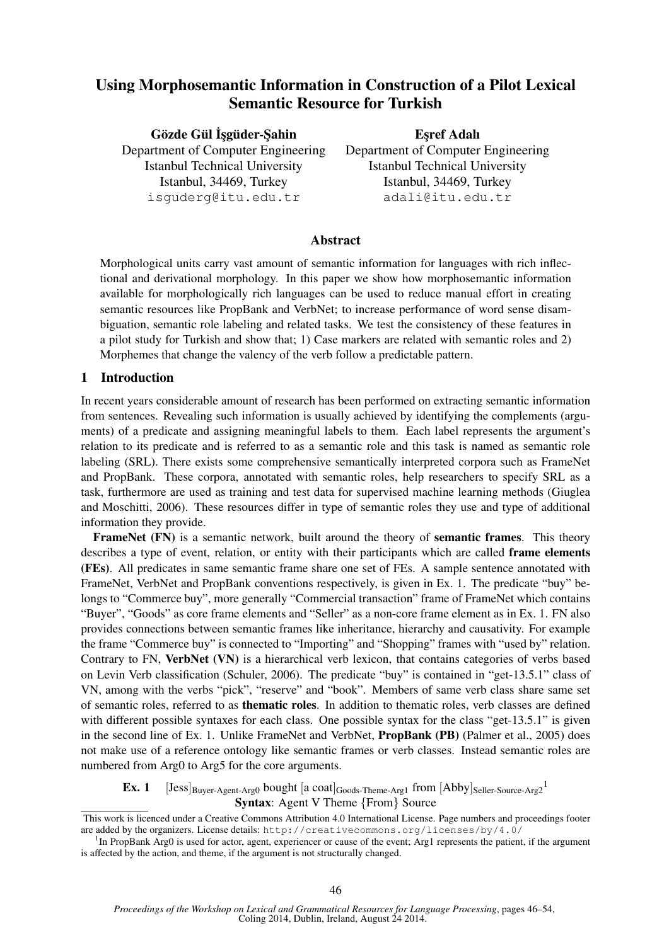# Using Morphosemantic Information in Construction of a Pilot Lexical Semantic Resource for Turkish

Gözde Gül İşgüder-Şahin

Department of Computer Engineering Istanbul Technical University Istanbul, 34469, Turkey isguderg@itu.edu.tr

**Esref Adalı** Department of Computer Engineering Istanbul Technical University Istanbul, 34469, Turkey adali@itu.edu.tr

## Abstract

Morphological units carry vast amount of semantic information for languages with rich inflectional and derivational morphology. In this paper we show how morphosemantic information available for morphologically rich languages can be used to reduce manual effort in creating semantic resources like PropBank and VerbNet; to increase performance of word sense disambiguation, semantic role labeling and related tasks. We test the consistency of these features in a pilot study for Turkish and show that; 1) Case markers are related with semantic roles and 2) Morphemes that change the valency of the verb follow a predictable pattern.

### 1 Introduction

In recent years considerable amount of research has been performed on extracting semantic information from sentences. Revealing such information is usually achieved by identifying the complements (arguments) of a predicate and assigning meaningful labels to them. Each label represents the argument's relation to its predicate and is referred to as a semantic role and this task is named as semantic role labeling (SRL). There exists some comprehensive semantically interpreted corpora such as FrameNet and PropBank. These corpora, annotated with semantic roles, help researchers to specify SRL as a task, furthermore are used as training and test data for supervised machine learning methods (Giuglea and Moschitti, 2006). These resources differ in type of semantic roles they use and type of additional information they provide.

FrameNet (FN) is a semantic network, built around the theory of semantic frames. This theory describes a type of event, relation, or entity with their participants which are called frame elements (FEs). All predicates in same semantic frame share one set of FEs. A sample sentence annotated with FrameNet, VerbNet and PropBank conventions respectively, is given in Ex. 1. The predicate "buy" belongs to "Commerce buy", more generally "Commercial transaction" frame of FrameNet which contains "Buyer", "Goods" as core frame elements and "Seller" as a non-core frame element as in Ex. 1. FN also provides connections between semantic frames like inheritance, hierarchy and causativity. For example the frame "Commerce buy" is connected to "Importing" and "Shopping" frames with "used by" relation. Contrary to FN, VerbNet (VN) is a hierarchical verb lexicon, that contains categories of verbs based on Levin Verb classification (Schuler, 2006). The predicate "buy" is contained in "get-13.5.1" class of VN, among with the verbs "pick", "reserve" and "book". Members of same verb class share same set of semantic roles, referred to as thematic roles. In addition to thematic roles, verb classes are defined with different possible syntaxes for each class. One possible syntax for the class "get-13.5.1" is given in the second line of Ex. 1. Unlike FrameNet and VerbNet, PropBank (PB) (Palmer et al., 2005) does not make use of a reference ontology like semantic frames or verb classes. Instead semantic roles are numbered from Arg0 to Arg5 for the core arguments.

### **Ex. 1** [Jess] $_{\text{Buyer-Agent-Arg0}}$  bought [a coat] $_{\text{Goods-Theme-Arg1}}$  from [Abby] $_{\text{Seller-Source-Arg2}}$ <sup>1</sup> Syntax: Agent V Theme {From} Source

This work is licenced under a Creative Commons Attribution 4.0 International License. Page numbers and proceedings footer are added by the organizers. License details: http://creativecommons.org/licenses/by/4.0/

<sup>&</sup>lt;sup>1</sup>In PropBank Arg0 is used for actor, agent, experiencer or cause of the event; Arg1 represents the patient, if the argument is affected by the action, and theme, if the argument is not structurally changed.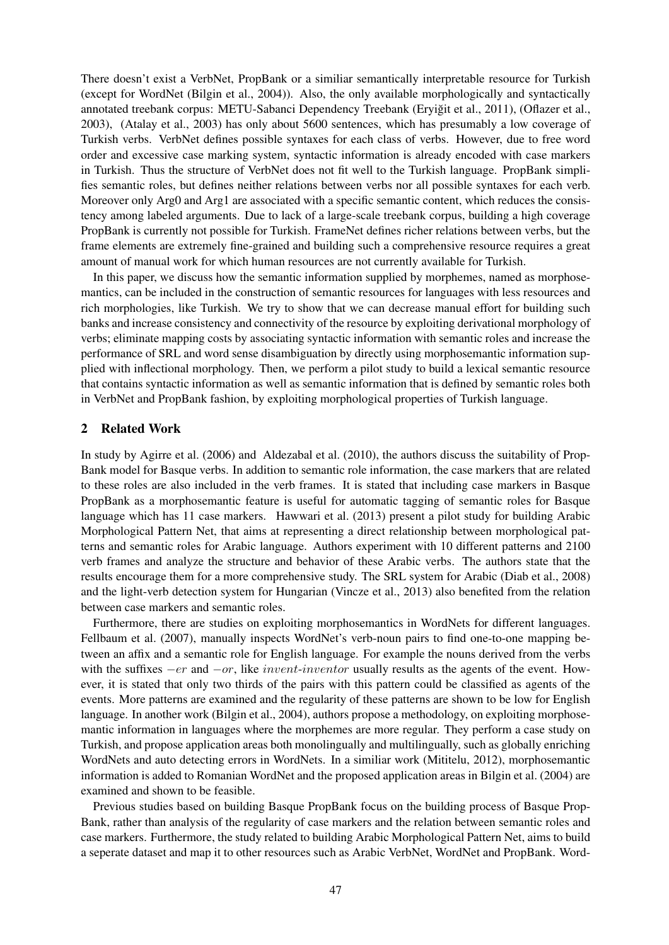There doesn't exist a VerbNet, PropBank or a similiar semantically interpretable resource for Turkish (except for WordNet (Bilgin et al., 2004)). Also, the only available morphologically and syntactically annotated treebank corpus: METU-Sabanci Dependency Treebank (Eryiğit et al., 2011), (Oflazer et al., 2003), (Atalay et al., 2003) has only about 5600 sentences, which has presumably a low coverage of Turkish verbs. VerbNet defines possible syntaxes for each class of verbs. However, due to free word order and excessive case marking system, syntactic information is already encoded with case markers in Turkish. Thus the structure of VerbNet does not fit well to the Turkish language. PropBank simplifies semantic roles, but defines neither relations between verbs nor all possible syntaxes for each verb. Moreover only Arg0 and Arg1 are associated with a specific semantic content, which reduces the consistency among labeled arguments. Due to lack of a large-scale treebank corpus, building a high coverage PropBank is currently not possible for Turkish. FrameNet defines richer relations between verbs, but the frame elements are extremely fine-grained and building such a comprehensive resource requires a great amount of manual work for which human resources are not currently available for Turkish.

In this paper, we discuss how the semantic information supplied by morphemes, named as morphosemantics, can be included in the construction of semantic resources for languages with less resources and rich morphologies, like Turkish. We try to show that we can decrease manual effort for building such banks and increase consistency and connectivity of the resource by exploiting derivational morphology of verbs; eliminate mapping costs by associating syntactic information with semantic roles and increase the performance of SRL and word sense disambiguation by directly using morphosemantic information supplied with inflectional morphology. Then, we perform a pilot study to build a lexical semantic resource that contains syntactic information as well as semantic information that is defined by semantic roles both in VerbNet and PropBank fashion, by exploiting morphological properties of Turkish language.

#### 2 Related Work

In study by Agirre et al. (2006) and Aldezabal et al. (2010), the authors discuss the suitability of Prop-Bank model for Basque verbs. In addition to semantic role information, the case markers that are related to these roles are also included in the verb frames. It is stated that including case markers in Basque PropBank as a morphosemantic feature is useful for automatic tagging of semantic roles for Basque language which has 11 case markers. Hawwari et al. (2013) present a pilot study for building Arabic Morphological Pattern Net, that aims at representing a direct relationship between morphological patterns and semantic roles for Arabic language. Authors experiment with 10 different patterns and 2100 verb frames and analyze the structure and behavior of these Arabic verbs. The authors state that the results encourage them for a more comprehensive study. The SRL system for Arabic (Diab et al., 2008) and the light-verb detection system for Hungarian (Vincze et al., 2013) also benefited from the relation between case markers and semantic roles.

Furthermore, there are studies on exploiting morphosemantics in WordNets for different languages. Fellbaum et al. (2007), manually inspects WordNet's verb-noun pairs to find one-to-one mapping between an affix and a semantic role for English language. For example the nouns derived from the verbs with the suffixes  $-er$  and  $-or$ , like *invent-inventor* usually results as the agents of the event. However, it is stated that only two thirds of the pairs with this pattern could be classified as agents of the events. More patterns are examined and the regularity of these patterns are shown to be low for English language. In another work (Bilgin et al., 2004), authors propose a methodology, on exploiting morphosemantic information in languages where the morphemes are more regular. They perform a case study on Turkish, and propose application areas both monolingually and multilingually, such as globally enriching WordNets and auto detecting errors in WordNets. In a similiar work (Mititelu, 2012), morphosemantic information is added to Romanian WordNet and the proposed application areas in Bilgin et al. (2004) are examined and shown to be feasible.

Previous studies based on building Basque PropBank focus on the building process of Basque Prop-Bank, rather than analysis of the regularity of case markers and the relation between semantic roles and case markers. Furthermore, the study related to building Arabic Morphological Pattern Net, aims to build a seperate dataset and map it to other resources such as Arabic VerbNet, WordNet and PropBank. Word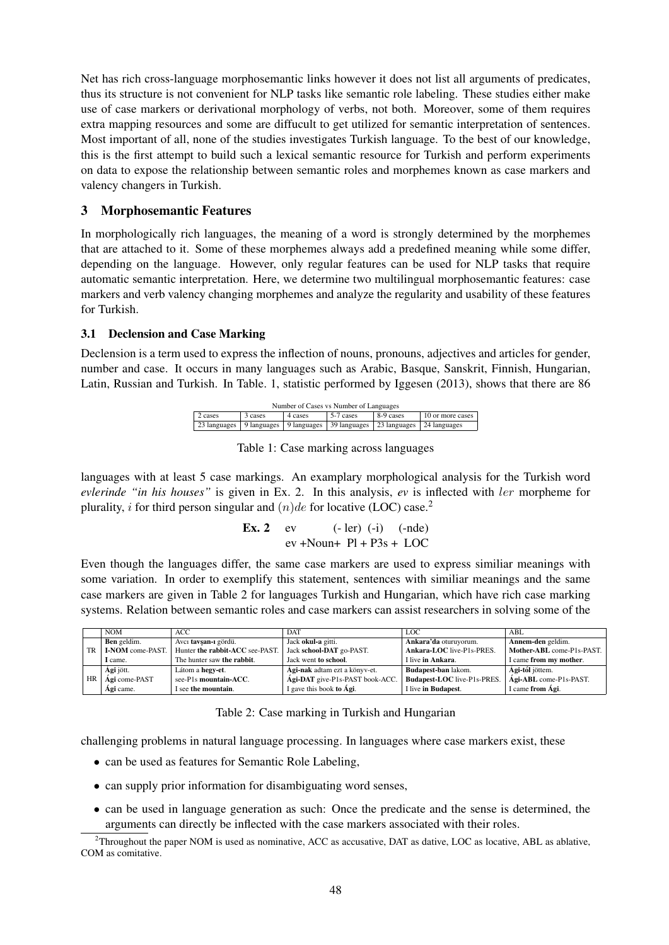Net has rich cross-language morphosemantic links however it does not list all arguments of predicates, thus its structure is not convenient for NLP tasks like semantic role labeling. These studies either make use of case markers or derivational morphology of verbs, not both. Moreover, some of them requires extra mapping resources and some are diffucult to get utilized for semantic interpretation of sentences. Most important of all, none of the studies investigates Turkish language. To the best of our knowledge, this is the first attempt to build such a lexical semantic resource for Turkish and perform experiments on data to expose the relationship between semantic roles and morphemes known as case markers and valency changers in Turkish.

## 3 Morphosemantic Features

In morphologically rich languages, the meaning of a word is strongly determined by the morphemes that are attached to it. Some of these morphemes always add a predefined meaning while some differ, depending on the language. However, only regular features can be used for NLP tasks that require automatic semantic interpretation. Here, we determine two multilingual morphosemantic features: case markers and verb valency changing morphemes and analyze the regularity and usability of these features for Turkish.

### 3.1 Declension and Case Marking

Declension is a term used to express the inflection of nouns, pronouns, adjectives and articles for gender, number and case. It occurs in many languages such as Arabic, Basque, Sanskrit, Finnish, Hungarian, Latin, Russian and Turkish. In Table. 1, statistic performed by Iggesen (2013), shows that there are 86

| Number of Cases vs Number of Languages                                                |  |  |  |  |  |  |  |  |  |
|---------------------------------------------------------------------------------------|--|--|--|--|--|--|--|--|--|
| 8-9 cases<br>5-7 cases<br>10 or more cases<br>2 cases<br>3 cases<br>4 cases           |  |  |  |  |  |  |  |  |  |
| 23 languages   9 languages   9 languages   39 languages   23 languages   24 languages |  |  |  |  |  |  |  |  |  |

Table 1: Case marking across languages

languages with at least 5 case markings. An examplary morphological analysis for the Turkish word *evlerinde "in his houses"* is given in Ex. 2. In this analysis, *ev* is inflected with ler morpheme for plurality, *i* for third person singular and  $(n)de$  for locative (LOC) case.<sup>2</sup>

**Ex. 2**   
ev 
$$
(-1er) (-i) (-nde)
$$
  
ev +Noun+ Pl + P3s + LOC

Even though the languages differ, the same case markers are used to express similiar meanings with some variation. In order to exemplify this statement, sentences with similiar meanings and the same case markers are given in Table 2 for languages Turkish and Hungarian, which have rich case marking systems. Relation between semantic roles and case markers can assist researchers in solving some of the

|    | <b>NOM</b>         | ACC.                            | <b>DAT</b>                      | LOC.                               | ABL.                      |
|----|--------------------|---------------------------------|---------------------------------|------------------------------------|---------------------------|
|    | <b>Ben</b> geldim. | Avcı tavsan 1 gördü.            | Jack okul-a gitti.              | Ankara'da oturuvorum.              | Annem-den geldim.         |
| TR | I-NOM come-PAST.   | Hunter the rabbit-ACC see-PAST. | Jack school-DAT go-PAST.        | Ankara-LOC live-P1s-PRES.          | Mother-ABL come-P1s-PAST. |
|    | I came.            | The hunter saw the rabbit.      | Jack went to school.            | I live in Ankara.                  | I came from my mother.    |
|    | <b>Agi</b> jött.   | Látom a hegy-et.                | Ági-nak adtam ezt a könyv-et.   | Budapest-ban lakom.                | <b>Agi-tól</b> jöttem.    |
| HR | Agi come-PAST      | see-P1s mountain-ACC.           | Ági-DAT give-P1s-PAST book-ACC. | <b>Budapest-LOC</b> live-P1s-PRES. | Ági-ABL come-P1s-PAST.    |
|    | Agi came.          | I see the mountain.             | I gave this book to Ági.        | I live in Budapest.                | I came from Ági.          |

Table 2: Case marking in Turkish and Hungarian

challenging problems in natural language processing. In languages where case markers exist, these

- can be used as features for Semantic Role Labeling,
- can supply prior information for disambiguating word senses,
- can be used in language generation as such: Once the predicate and the sense is determined, the arguments can directly be inflected with the case markers associated with their roles.

 $2$ Throughout the paper NOM is used as nominative, ACC as accusative, DAT as dative, LOC as locative, ABL as ablative, COM as comitative.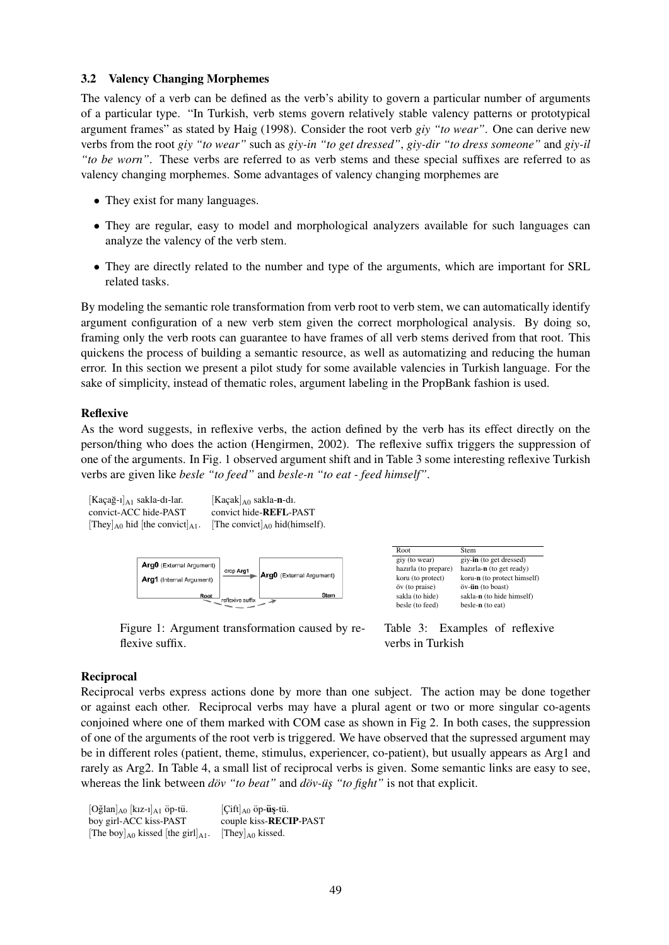#### 3.2 Valency Changing Morphemes

The valency of a verb can be defined as the verb's ability to govern a particular number of arguments of a particular type. "In Turkish, verb stems govern relatively stable valency patterns or prototypical argument frames" as stated by Haig (1998). Consider the root verb *giy "to wear"*. One can derive new verbs from the root *giy "to wear"* such as *giy-in "to get dressed"*, *giy-dir "to dress someone"* and *giy-il "to be worn"*. These verbs are referred to as verb stems and these special suffixes are referred to as valency changing morphemes. Some advantages of valency changing morphemes are

- They exist for many languages.
- They are regular, easy to model and morphological analyzers available for such languages can analyze the valency of the verb stem.
- They are directly related to the number and type of the arguments, which are important for SRL related tasks.

By modeling the semantic role transformation from verb root to verb stem, we can automatically identify argument configuration of a new verb stem given the correct morphological analysis. By doing so, framing only the verb roots can guarantee to have frames of all verb stems derived from that root. This quickens the process of building a semantic resource, as well as automatizing and reducing the human error. In this section we present a pilot study for some available valencies in Turkish language. For the sake of simplicity, instead of thematic roles, argument labeling in the PropBank fashion is used.

### Reflexive

As the word suggests, in reflexive verbs, the action defined by the verb has its effect directly on the person/thing who does the action (Hengirmen, 2002). The reflexive suffix triggers the suppression of one of the arguments. In Fig. 1 observed argument shift and in Table 3 some interesting reflexive Turkish verbs are given like *besle "to feed"* and *besle-n "to eat - feed himself"*.

| $[Kaqa\check{g}-1]_{A1}$ sakla-di-lar.          | $[Kaçak]_{A0}$ sakla-n-di.          |
|-------------------------------------------------|-------------------------------------|
| convict-ACC hide-PAST                           | convict hide-REFL-PAST              |
| $[They]_{A0}$ hid [the convict] <sub>A1</sub> . | [The convict] $_{A0}$ hid(himself). |



Figure 1: Argument transformation caused by reflexive suffix.

Table 3: Examples of reflexive verbs in Turkish

### Reciprocal

Reciprocal verbs express actions done by more than one subject. The action may be done together or against each other. Reciprocal verbs may have a plural agent or two or more singular co-agents conjoined where one of them marked with COM case as shown in Fig 2. In both cases, the suppression of one of the arguments of the root verb is triggered. We have observed that the supressed argument may be in different roles (patient, theme, stimulus, experiencer, co-patient), but usually appears as Arg1 and rarely as Arg2. In Table 4, a small list of reciprocal verbs is given. Some semantic links are easy to see, whereas the link between *dov* "*to beat*" and *dov-us* "*to fight*" is not that explicit.

 $[O\check{g}$ lan $]_{A0}$   $[kz-1]_{A1}$  öp-tü.  $[Cift]_{A0}$  öp-**üş**-tü. boy girl-ACC kiss-PAST couple kiss-RECIP-PAST [The boy] $_{A0}$  kissed [the girl] $_{A1}$ . [They] $_{A0}$  kissed.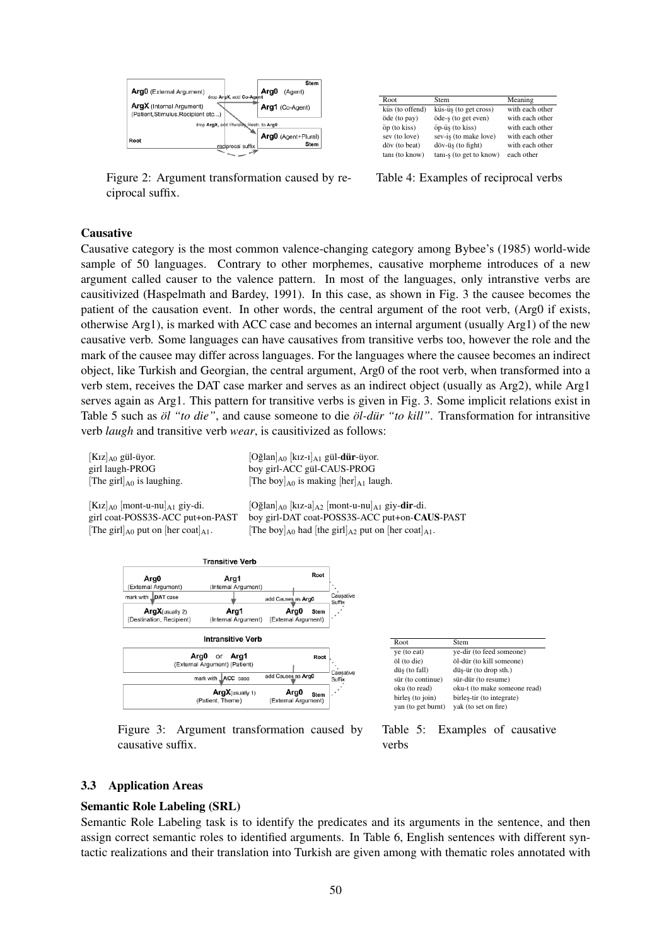

Figure 2: Argument transformation caused by reciprocal suffix.

| Root.           | Stem                    | Meaning         |
|-----------------|-------------------------|-----------------|
| küs (to offend) | küs-üş (to get cross)   | with each other |
| öde (to pay)    | öde-s (to get even)     | with each other |
| öp (to kiss)    | öp-üş (to kiss)         | with each other |
| sev (to love)   | sev-is (to make love)   | with each other |
| döv (to beat)   | döv-üş (to fight)       | with each other |
| tani (to know)  | tani-s (to get to know) | each other      |

Table 4: Examples of reciprocal verbs

#### Causative

Causative category is the most common valence-changing category among Bybee's (1985) world-wide sample of 50 languages. Contrary to other morphemes, causative morpheme introduces of a new argument called causer to the valence pattern. In most of the languages, only intranstive verbs are causitivized (Haspelmath and Bardey, 1991). In this case, as shown in Fig. 3 the causee becomes the patient of the causation event. In other words, the central argument of the root verb, (Arg0 if exists, otherwise Arg1), is marked with ACC case and becomes an internal argument (usually Arg1) of the new causative verb. Some languages can have causatives from transitive verbs too, however the role and the mark of the causee may differ across languages. For the languages where the causee becomes an indirect object, like Turkish and Georgian, the central argument, Arg0 of the root verb, when transformed into a verb stem, receives the DAT case marker and serves as an indirect object (usually as Arg2), while Arg1 serves again as Arg1. This pattern for transitive verbs is given in Fig. 3. Some implicit relations exist in Table 5 such as  $\partial l$  "to die", and cause someone to die  $\partial l$ -dür "to kill". Transformation for intransitive verb *laugh* and transitive verb *wear*, is causitivized as follows:

| $[K1z]_{A0}$ gül-üyor.          |  |
|---------------------------------|--|
| girl laugh-PROG                 |  |
| [The girl] $_{A0}$ is laughing. |  |

 $[O\xi]$ an $]_{A0}$   $[k_1z_{-1}]_{A1}$  gül-dür-üyor. boy girl-ACC gül-CAUS-PROG [The boy] $_{A0}$  is making [her] $_{A1}$  laugh.

 $[K1z]_{A0}$  [mont-u-nu]<sub>A1</sub> giy-dir-di. [Oğlan]<sub>A0</sub> [kız-a]<sub>A2</sub> [mont-u-nu]<sub>A1</sub> giy-**dir**-di. girl coat-POSS3S-ACC put+on-CA boy girl-DAT coat-POSS3S-ACC put+on-CAUS-PAST [The girl]<sub>A0</sub> put on [her coat]<sub>A1</sub>. [The boy]<sub>A0</sub> had [the girl]<sub>A2</sub> put on [her coat]<sub>A1</sub>.



Figure 3: Argument transformation caused by causative suffix.



Table 5: Examples of causative verbs

#### 3.3 Application Areas

#### Semantic Role Labeling (SRL)

Semantic Role Labeling task is to identify the predicates and its arguments in the sentence, and then assign correct semantic roles to identified arguments. In Table 6, English sentences with different syntactic realizations and their translation into Turkish are given among with thematic roles annotated with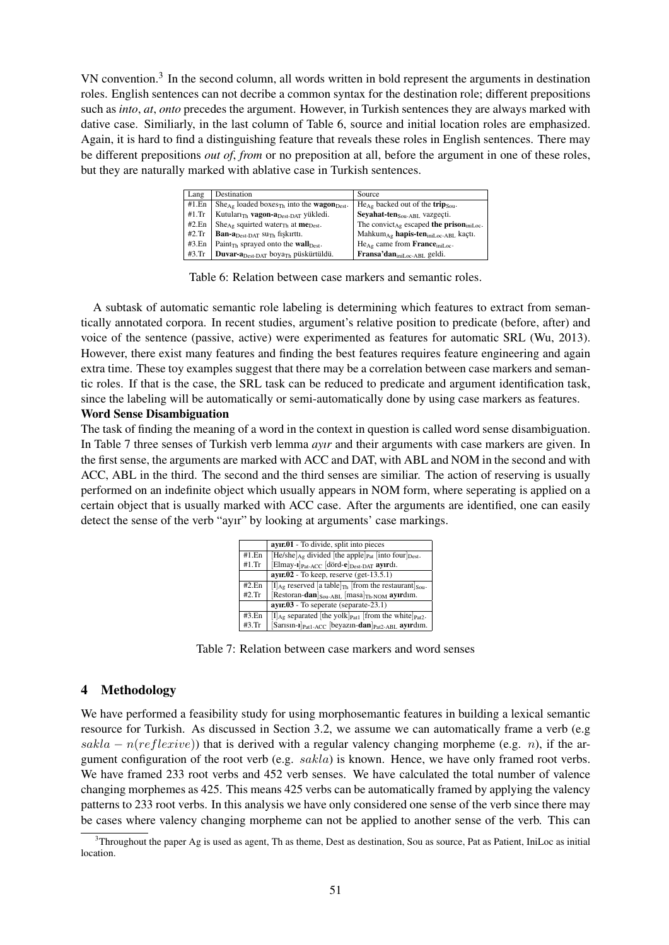VN convention.<sup>3</sup> In the second column, all words written in bold represent the arguments in destination roles. English sentences can not decribe a common syntax for the destination role; different prepositions such as *into*, *at*, *onto* precedes the argument. However, in Turkish sentences they are always marked with dative case. Similiarly, in the last column of Table 6, source and initial location roles are emphasized. Again, it is hard to find a distinguishing feature that reveals these roles in English sentences. There may be different prepositions *out of*, *from* or no preposition at all, before the argument in one of these roles, but they are naturally marked with ablative case in Turkish sentences.

| Lang  | Destination                                                                   | Source                                                           |
|-------|-------------------------------------------------------------------------------|------------------------------------------------------------------|
| #1.En | $She_{Ag}$ loaded boxes <sub>Th</sub> into the <b>wagon</b> <sub>Dest</sub> . | $He_{Ag}$ backed out of the trip <sub>Sou</sub> .                |
| #1.Tr | Kutuları <sub>Th</sub> vagon-a <sub>Dest-DAT</sub> yükledi.                   | Sevahat-ten <sub>Sou-ABL</sub> vazgeçti.                         |
| #2.En | $She_{Ag}$ squirted water <sub>Th</sub> at <b>me</b> <sub>Dest</sub> .        | The convict <sub>Ag</sub> escaped the prison <sub>iniLoc</sub> . |
| #2.Tr | <b>Ban-a</b> $_{\text{Dest-DAT}}$ su <sub>Th</sub> fiskirtti.                 | Mahkum <sub>Ag</sub> hapis-ten <sub>iniLoc-ABL</sub> kaçtı.      |
| #3.En | Paint <sub>Th</sub> sprayed onto the <b>wall</b> Dest.                        | $He_{Ag}$ came from <b>France</b> <sub>iniLoc</sub> .            |
| #3.Tr | <b>Duvar-a</b> Dest-DAT boya <sub>Th</sub> püskürtüldü.                       | Fransa'dan <sub>iniLoc-ABL</sub> geldi.                          |

Table 6: Relation between case markers and semantic roles.

A subtask of automatic semantic role labeling is determining which features to extract from semantically annotated corpora. In recent studies, argument's relative position to predicate (before, after) and voice of the sentence (passive, active) were experimented as features for automatic SRL (Wu, 2013). However, there exist many features and finding the best features requires feature engineering and again extra time. These toy examples suggest that there may be a correlation between case markers and semantic roles. If that is the case, the SRL task can be reduced to predicate and argument identification task, since the labeling will be automatically or semi-automatically done by using case markers as features.

### Word Sense Disambiguation

The task of finding the meaning of a word in the context in question is called word sense disambiguation. In Table 7 three senses of Turkish verb lemma *ayır* and their arguments with case markers are given. In the first sense, the arguments are marked with ACC and DAT, with ABL and NOM in the second and with ACC, ABL in the third. The second and the third senses are similiar. The action of reserving is usually performed on an indefinite object which usually appears in NOM form, where seperating is applied on a certain object that is usually marked with ACC case. After the arguments are identified, one can easily detect the sense of the verb "ayır" by looking at arguments' case markings.

|       | ayır.01 - To divide, split into pieces                                                    |
|-------|-------------------------------------------------------------------------------------------|
| #1.En | $[He/she]_{Ag}$ divided [the apple] <sub>Pat</sub> [into four] <sub>Dest</sub> .          |
| #1.Tr | [Elmay-1] <sub>Pat-ACC</sub> [dörd-e] <sub>Dest-DAT</sub> ayırdı.                         |
|       | $ayrr.02$ - To keep, reserve (get-13.5.1)                                                 |
| #2.En | $[I]_{\text{Ag}}$ reserved [a table] <sub>Th</sub> [from the restaurant] <sub>Sou</sub> . |
| #2.Tr | [Restoran-dan] $_{\text{Sou-ABL}}$ [masa] $_{\text{Th-NOM}}$ ayirdim.                     |
|       | $ayrr.03$ - To seperate (separate-23.1)                                                   |
| #3.En | $[I]_{Ag}$ separated [the yolk] $_{Pat1}$ [from the white] $_{Pat2}$ .                    |
| #3.Tr | $[Sarsin-1]_{\text{Pat1-ACC}}$ [beyazın-dan] $_{\text{Pat2-ABL}}$ ayırdım.                |

Table 7: Relation between case markers and word senses

## 4 Methodology

We have performed a feasibility study for using morphosemantic features in building a lexical semantic resource for Turkish. As discussed in Section 3.2, we assume we can automatically frame a verb (e.g sakla –  $n(reflexive)$ ) that is derived with a regular valency changing morpheme (e.g. n), if the argument configuration of the root verb (e.g.  $sakla$ ) is known. Hence, we have only framed root verbs. We have framed 233 root verbs and 452 verb senses. We have calculated the total number of valence changing morphemes as 425. This means 425 verbs can be automatically framed by applying the valency patterns to 233 root verbs. In this analysis we have only considered one sense of the verb since there may be cases where valency changing morpheme can not be applied to another sense of the verb. This can

 $3$ Throughout the paper Ag is used as agent, Th as theme, Dest as destination, Sou as source, Pat as Patient, IniLoc as initial location.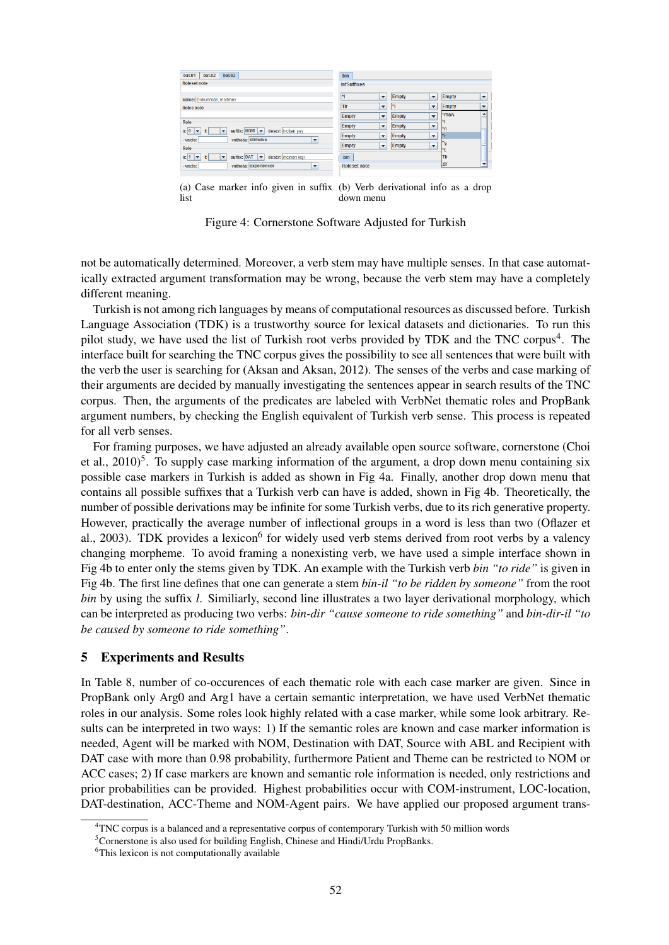| bat.02<br>bat.02<br>bat.01                                                                                           | bin                                      |                                          |              |                          |  |  |
|----------------------------------------------------------------------------------------------------------------------|------------------------------------------|------------------------------------------|--------------|--------------------------|--|--|
| <b>Roleset note</b>                                                                                                  | <b>InfSuffixes</b>                       |                                          |              |                          |  |  |
| name: Dokunmak, incitmek                                                                                             | Ħ<br>$\overline{\phantom{a}}$            | <b>Empty</b><br>$\overline{\phantom{a}}$ | <b>Empty</b> | $\overline{\phantom{a}}$ |  |  |
| Roles note                                                                                                           | Tir<br>$\checkmark$                      | n<br>$\overline{\phantom{a}}$            | <b>Empty</b> | $\checkmark$             |  |  |
|                                                                                                                      | Empty<br>$\checkmark$                    | $\overline{\phantom{0}}$<br><b>Empty</b> | *msA         | $\blacktriangle$         |  |  |
| Role                                                                                                                 | Empty<br>$\overline{\phantom{a}}$        | <b>Empty</b><br>$\overline{\phantom{a}}$ | l*n          |                          |  |  |
| n: 0<br>suffix: $NOM$ $\blacktriangleright$<br>descr: inciten sey<br>f:<br>$\overline{\phantom{a}}$                  | <b>Empty</b><br>$\blacktriangledown$     | <b>Empty</b><br>$\overline{\phantom{a}}$ | l*r          |                          |  |  |
| vntheta: stimulus<br>- vncls:<br>$\overline{\phantom{a}}$<br><b>Role</b>                                             | <b>Empty</b><br>$\overline{\phantom{a}}$ | <b>Empty</b><br>$\overline{\phantom{0}}$ | *ş<br>lxe    |                          |  |  |
| suffix: DAT<br>n: 1<br>$\overline{\phantom{a}}$<br>descr: incinen kişi<br>f <sub>i</sub><br>$\overline{\phantom{a}}$ | bin                                      |                                          | <b>T</b> Ir  |                          |  |  |
| vntheta: experiencer<br>- vncls:<br>$\blacktriangledown$                                                             | <b>Roleset note</b>                      |                                          | <b>zir</b>   | $\check{}$               |  |  |

(a) Case marker info given in suffix (b) Verb derivational info as a drop list down menu

Figure 4: Cornerstone Software Adjusted for Turkish

not be automatically determined. Moreover, a verb stem may have multiple senses. In that case automatically extracted argument transformation may be wrong, because the verb stem may have a completely different meaning.

Turkish is not among rich languages by means of computational resources as discussed before. Turkish Language Association (TDK) is a trustworthy source for lexical datasets and dictionaries. To run this pilot study, we have used the list of Turkish root verbs provided by TDK and the TNC corpus<sup>4</sup>. The interface built for searching the TNC corpus gives the possibility to see all sentences that were built with the verb the user is searching for (Aksan and Aksan, 2012). The senses of the verbs and case marking of their arguments are decided by manually investigating the sentences appear in search results of the TNC corpus. Then, the arguments of the predicates are labeled with VerbNet thematic roles and PropBank argument numbers, by checking the English equivalent of Turkish verb sense. This process is repeated for all verb senses.

For framing purposes, we have adjusted an already available open source software, cornerstone (Choi et al., 2010)<sup>5</sup>. To supply case marking information of the argument, a drop down menu containing six possible case markers in Turkish is added as shown in Fig 4a. Finally, another drop down menu that contains all possible suffixes that a Turkish verb can have is added, shown in Fig 4b. Theoretically, the number of possible derivations may be infinite for some Turkish verbs, due to its rich generative property. However, practically the average number of inflectional groups in a word is less than two (Oflazer et al., 2003). TDK provides a lexicon<sup>6</sup> for widely used verb stems derived from root verbs by a valency changing morpheme. To avoid framing a nonexisting verb, we have used a simple interface shown in Fig 4b to enter only the stems given by TDK. An example with the Turkish verb *bin "to ride"* is given in Fig 4b. The first line defines that one can generate a stem *bin-il "to be ridden by someone"* from the root *bin* by using the suffix *l*. Similiarly, second line illustrates a two layer derivational morphology, which can be interpreted as producing two verbs: *bin-dir "cause someone to ride something"* and *bin-dir-il "to be caused by someone to ride something"*.

#### 5 Experiments and Results

In Table 8, number of co-occurences of each thematic role with each case marker are given. Since in PropBank only Arg0 and Arg1 have a certain semantic interpretation, we have used VerbNet thematic roles in our analysis. Some roles look highly related with a case marker, while some look arbitrary. Results can be interpreted in two ways: 1) If the semantic roles are known and case marker information is needed, Agent will be marked with NOM, Destination with DAT, Source with ABL and Recipient with DAT case with more than 0.98 probability, furthermore Patient and Theme can be restricted to NOM or ACC cases; 2) If case markers are known and semantic role information is needed, only restrictions and prior probabilities can be provided. Highest probabilities occur with COM-instrument, LOC-location, DAT-destination, ACC-Theme and NOM-Agent pairs. We have applied our proposed argument trans-

 $4TNC$  corpus is a balanced and a representative corpus of contemporary Turkish with 50 million words

<sup>&</sup>lt;sup>5</sup>Cornerstone is also used for building English, Chinese and Hindi/Urdu PropBanks.

<sup>&</sup>lt;sup>6</sup>This lexicon is not computationally available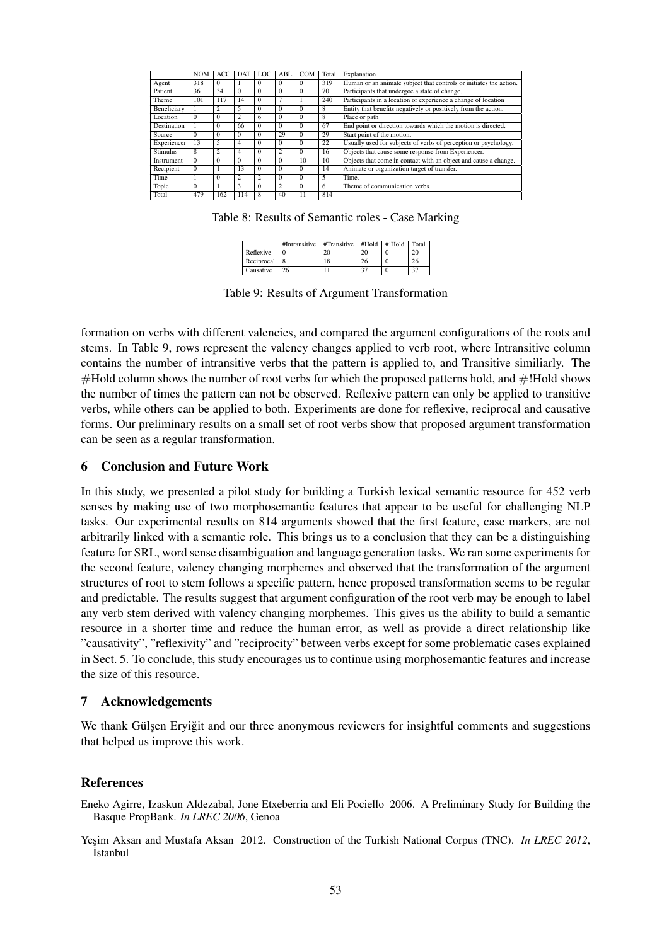|                 | <b>NOM</b> | ACC            | <b>DAT</b>     | LOC.           | ABL            | <b>COM</b> | Total | Explanation                                                        |
|-----------------|------------|----------------|----------------|----------------|----------------|------------|-------|--------------------------------------------------------------------|
| Agent           | 318        | $\Omega$       |                | $\Omega$       | $\Omega$       | $\Omega$   | 319   | Human or an animate subject that controls or initiates the action. |
| Patient         | 36         | 34             | $\Omega$       | $\Omega$       | $\Omega$       | $\Omega$   | 70    | Participants that undergoe a state of change.                      |
| Theme           | 101        | 117            | 14             | $\Omega$       | 7              |            | 240   | Participants in a location or experience a change of location      |
| Beneficiary     |            | 2              | 5              | $\Omega$       | $\Omega$       | $\Omega$   | 8     | Entity that benefits negatively or positively from the action.     |
| Location        | $\Omega$   | $\Omega$       | $\overline{c}$ | 6              | $\Omega$       | $\Omega$   | 8     | Place or path                                                      |
| Destination     |            | $\Omega$       | 66             | $\Omega$       | $\Omega$       | $\Omega$   | 67    | End point or direction towards which the motion is directed.       |
| Source          | $\Omega$   | $\Omega$       | $\Omega$       | $\Omega$       | 29             | $\Omega$   | 29    | Start point of the motion.                                         |
| Experiencer     | 13         | 5              | 4              | $\Omega$       | $\Omega$       | $\Omega$   | 22    | Usually used for subjects of verbs of perception or psychology.    |
| <b>Stimulus</b> | 8          | $\overline{c}$ | 4              | $\Omega$       | $\overline{2}$ | $\Omega$   | 16    | Objects that cause some response from Experiencer.                 |
| Instrument      | $\Omega$   | $\Omega$       | $\Omega$       | $\Omega$       | $\Omega$       | 10         | 10    | Objects that come in contact with an object and cause a change.    |
| Recipient       | $\Omega$   |                | 13             | $\Omega$       | $\Omega$       | $\Omega$   | 14    | Animate or organization target of transfer.                        |
| Time            |            | $\Omega$       | 2              | $\overline{c}$ | $\Omega$       | $\Omega$   | 5     | Time.                                                              |
| Topic           | $\Omega$   |                | 3              | $\Omega$       | $\overline{c}$ | $\Omega$   | 6     | Theme of communication verbs.                                      |
| Total           | 479        | 162            | 114            | 8              | 40             | 11         | 814   |                                                                    |
|                 |            |                |                |                |                |            |       |                                                                    |

Table 8: Results of Semantic roles - Case Marking

|            | #Intransitive | #Transitive |    | #Hold #!Hold | Total |
|------------|---------------|-------------|----|--------------|-------|
| Reflexive  |               | 20          | 20 |              |       |
| Reciprocal |               |             | 26 |              |       |
| Causative  |               |             | 27 |              | 37    |

Table 9: Results of Argument Transformation

formation on verbs with different valencies, and compared the argument configurations of the roots and stems. In Table 9, rows represent the valency changes applied to verb root, where Intransitive column contains the number of intransitive verbs that the pattern is applied to, and Transitive similiarly. The #Hold column shows the number of root verbs for which the proposed patterns hold, and #!Hold shows the number of times the pattern can not be observed. Reflexive pattern can only be applied to transitive verbs, while others can be applied to both. Experiments are done for reflexive, reciprocal and causative forms. Our preliminary results on a small set of root verbs show that proposed argument transformation can be seen as a regular transformation.

### 6 Conclusion and Future Work

In this study, we presented a pilot study for building a Turkish lexical semantic resource for 452 verb senses by making use of two morphosemantic features that appear to be useful for challenging NLP tasks. Our experimental results on 814 arguments showed that the first feature, case markers, are not arbitrarily linked with a semantic role. This brings us to a conclusion that they can be a distinguishing feature for SRL, word sense disambiguation and language generation tasks. We ran some experiments for the second feature, valency changing morphemes and observed that the transformation of the argument structures of root to stem follows a specific pattern, hence proposed transformation seems to be regular and predictable. The results suggest that argument configuration of the root verb may be enough to label any verb stem derived with valency changing morphemes. This gives us the ability to build a semantic resource in a shorter time and reduce the human error, as well as provide a direct relationship like "causativity", "reflexivity" and "reciprocity" between verbs except for some problematic cases explained in Sect. 5. To conclude, this study encourages us to continue using morphosemantic features and increase the size of this resource.

#### 7 Acknowledgements

We thank Gulsen Eryigit and our three anonymous reviewers for insightful comments and suggestions that helped us improve this work.

#### References

Eneko Agirre, Izaskun Aldezabal, Jone Etxeberria and Eli Pociello 2006. A Preliminary Study for Building the Basque PropBank. *In LREC 2006*, Genoa

Yesim Aksan and Mustafa Aksan 2012. Construction of the Turkish National Corpus (TNC). *In LREC 2012*, **İstanbul**